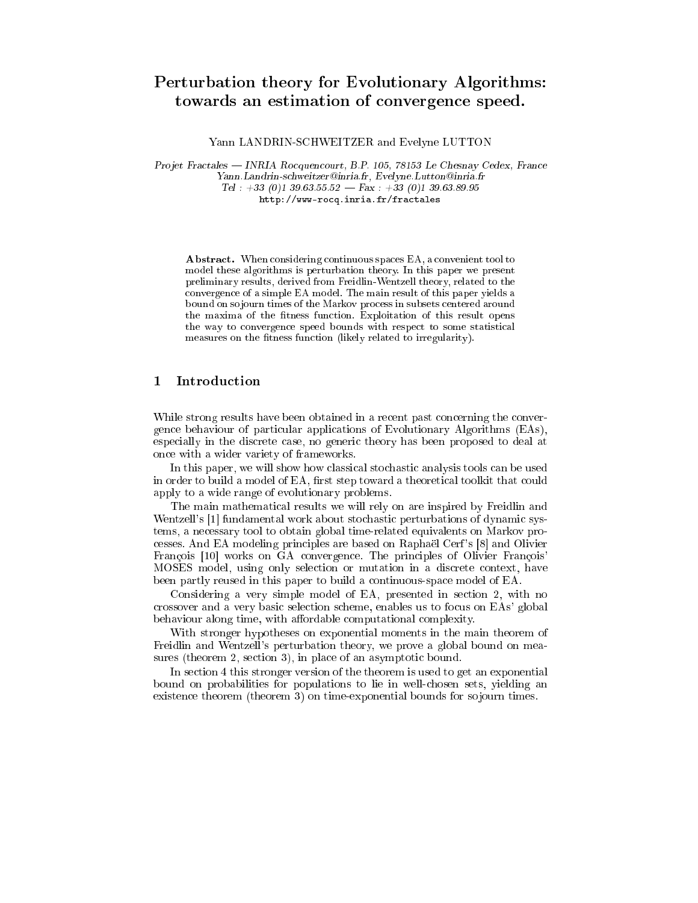# Perturbation theory for Evolutionary Algorithms: towards an estimation of convergence speed.

Yann LANDRIN-SCHWEITZER and Evelyne LUTTON

Projet Fractales — INRIA Rocquencourt, B.P. 105, 78153 Le Chesnay Cedex, France Yann. Landrin-schweitzer@inria.fr, Evelyne. Lutton@inria.fr Tel:  $+33$  (0)1 39.63.55.52 – Fax:  $+33$  (0)1 39.63.89.95  $\verb+http://www-rocq.inria.fr/fractales+$ 

**Abstract.** When considering continuous spaces EA, a convenient tool to model these algorithms is perturbation theory. In this paper we present preliminary results, derived from Freidlin-Wentzell theory, related to the convergence of a simple EA model. The main result of this paper yields a bound on sojourn times of the Markov process in subsets centered around the maxima of the fitness function. Exploitation of this result opens the way to convergence speed bounds with respect to some statistical measures on the fitness function (likely related to irregularity).

#### Introduction  $\mathbf 1$

While strong results have been obtained in a recent past concerning the convergence behaviour of particular applications of Evolutionary Algorithms (EAs), especially in the discrete case, no generic theory has been proposed to deal at once with a wider variety of frameworks.

In this paper, we will show how classical stochastic analysis tools can be used in order to build a model of EA, first step toward a theoretical toolkit that could apply to a wide range of evolutionary problems.

The main mathematical results we will rely on are inspired by Freidlin and Wentzell's [1] fundamental work about stochastic perturbations of dynamic systems, a necessary tool to obtain global time-related equivalents on Markov processes. And EA modeling principles are based on Raphaël Cerf's [8] and Olivier François [10] works on GA convergence. The principles of Olivier François' MOSES model, using only selection or mutation in a discrete context, have been partly reused in this paper to build a continuous-space model of EA.

Considering a very simple model of EA, presented in section 2, with no crossover and a very basic selection scheme, enables us to focus on EAs' global behaviour along time, with affordable computational complexity.

With stronger hypotheses on exponential moments in the main theorem of Freidlin and Wentzell's perturbation theory, we prove a global bound on measures (theorem 2, section 3), in place of an asymptotic bound.

In section 4 this stronger version of the theorem is used to get an exponential bound on probabilities for populations to lie in well-chosen sets, yielding an existence theorem (theorem 3) on time-exponential bounds for sojourn times.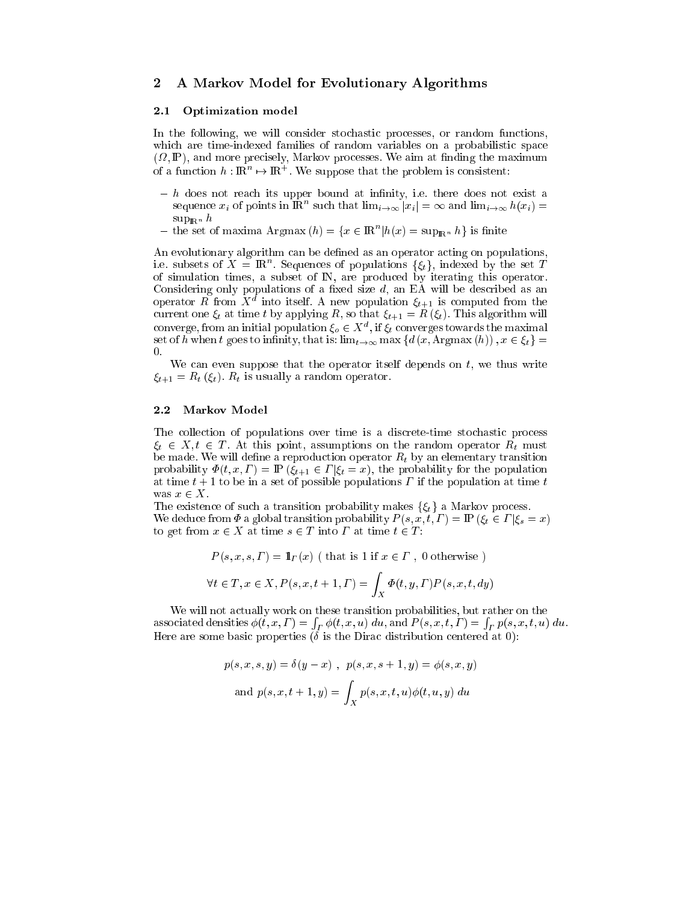## 2 A Markov Model for Evolutionary Algorithms

### 2.1 Optimization model

In the following, we will consider stochastic processes, or random functions, which are time-indexed families of random variables on a probabilistic space  $\mathbf{N}$ , and more presented more presented the more presentation of  $\mathbf{N}$ of a function  $h: \mathbb{R}^n \to \mathbb{R}^+$ . We suppose that the problem is consistent:

- $h$  does not reach its upper bound at infinity, i.e. there does not exist a sequence  $x_i$  of points in  $\mathbb{R}^n$  such that  $\lim_{i\to\infty} |x_i| = \infty$  and  $\lim_{i\to\infty} h(x_i) =$  $\sup_{\mathbb{R}^n} h$
- the set of maxima Argmax  $(h) = \{x \in \mathbb{R}^n | h(x) = \sup_{\mathbb{R}^n} h\}$  is finite

An evolutionary algorithm can be defined as an operator acting on populations, i.e. subsets of  $X = \mathbb{R}^n$ . Sequences of populations  $\{\xi_t\}$ , indexed by the set T of simulation times, a subset of IN, are produ
ed by iterating this operator. operator R from  $X^d$  into itself. A new population  $\xi_{t+1}$  is computed from the current one  $\xi_t$  at time t by applying R, so that  $\xi_{t+1} = R(\xi_t)$ . This algorithm will converge, from an initial population  $\xi_o \in X^d$ , if  $\xi_t$  converges towards the maximal set of h when t goes to infinity, that is:  $\lim_{t\to\infty} \max \{d(x, \text{Argmax}(h)), x \in \xi_t\}$ 0.

We can even suppose that the operator itself depends on  $t$ , we thus write  $\xi_{t+1} = R_t(\xi_t)$ .  $R_t$  is usually a random operator.

#### $2.2$ **Markov Model**

The collection of populations over time is a discrete-time stochastic process  $\xi_t \in X, t \in T$ . At this point, assumptions on the random operator  $R_t$  must be made. We will define a reproduction operator  $R_t$  by an elementary transition probability  $\Phi(t; x, \Gamma) = \mathbb{P}(\xi_{t+1} \in \Gamma | \xi_t = x)$ , the probability for the population at time  $t + 1$  to be in a set of possible populations  $\Gamma$  if the population at time  $t$ was  $x \in X$ .

The existence of such a transition probability makes  $\{\xi_t\}$  a Markov process. We deduce from  $\Phi$  a global transition probability  $P(s, x, t, \Gamma) = \mathbb{P}(\xi_t \in \Gamma | \xi_s = x)$ to get from  $x \in X$  at time  $s \in T$  into  $\Gamma$  at time  $t \in T$ :

$$
P(s, x, s, \Gamma) = \mathbb{1}_{\Gamma}(x) \text{ (that is 1 if } x \in \Gamma, 0 \text{ otherwise)}
$$

$$
\forall t \in T, x \in X, P(s, x, t+1, \Gamma) = \int_X \Phi(t, y, \Gamma) P(s, x, t, dy)
$$

We will not actually work on these transition probabilities, but rather on the asso
iated densities (t; x; ) =  $\int_{\Gamma} \phi(t, x, u) \, du$ , and  $P(s, x, t, \Gamma) = \int_{\Gamma} p(s, x, t, u) \, du$ . Here are some basic properties  $(\delta$  is the Dirac distribution centered at 0):

$$
p(s, x, s, y) = \delta(y - x), \ p(s, x, s + 1, y) = \phi(s, x, y)
$$
  
and 
$$
p(s, x, t + 1, y) = \int_X p(s, x, t, u)\phi(t, u, y) du
$$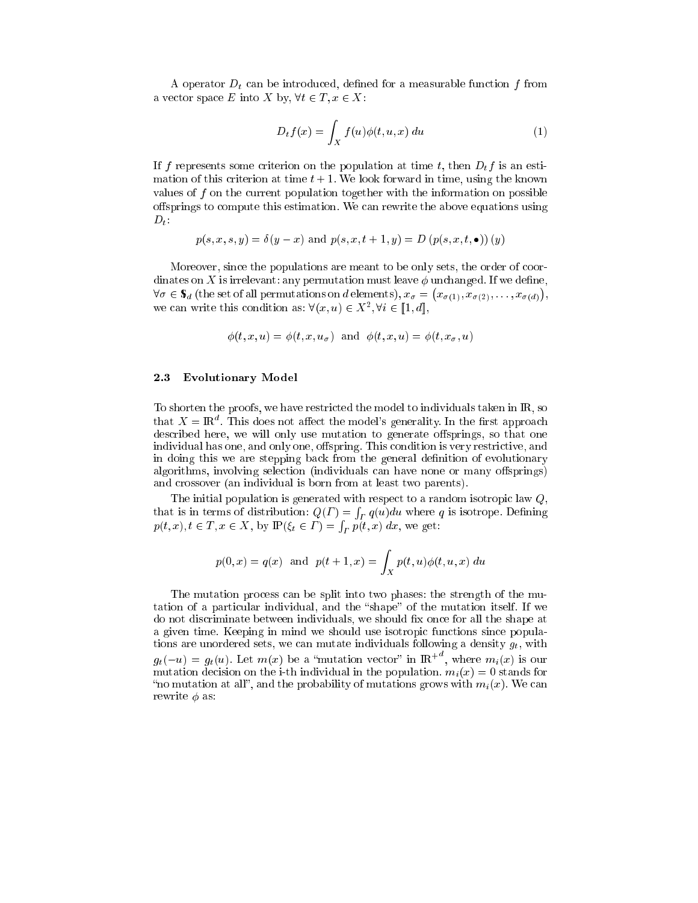A operator  $D_t$  can be introduced, defined for a measurable function  $f$  from a vector space E into X by,  $\forall t \in T, x \in X$ :

$$
D_t f(x) = \int_X f(u)\phi(t, u, x) du \tag{1}
$$

If f represents some criterion on the population at time t, then  $D_t f$  is an estimation of this criterion at time  $t+1$ . We look forward in time, using the known values of  $f$  on the current population together with the information on possible offsprings to compute this estimation. We can rewrite the above equations using  $D_t$ :

$$
p(s, x, s, y) = \delta(y - x)
$$
 and  $p(s, x, t + 1, y) = D(p(s, x, t, \bullet))(y)$ 

Moreover, since the populations are meant to be only sets, the order of coordinates on X is irrelevant: any permutation must leave  $\phi$  unchanged. If we define,  $\forall \sigma \in \mathbb{S}_d$  (the set of all permutations on d elements),  $x_{\sigma} = (x_{\sigma(1)}, x_{\sigma(2)}, \ldots, x_{\sigma(d)})$ , we can write this condition as:  $\forall (x, u) \in X^2, \forall i \in [1, d],$ 

$$
\phi(t, x, u) = \phi(t, x, u_{\sigma})
$$
 and  $\phi(t, x, u) = \phi(t, x_{\sigma}, u)$ 

#### **Evolutionary Model**  $2.3\,$

To shorten the proofs, we have restricted the model to individuals taken in  $\mathbb{R}$ , so that  $X = \mathbb{R}^d$ . This does not affect the model's generality. In the first approach described here, we will only use mutation to generate offsprings, so that one individual has one, and only one, offspring. This condition is very restrictive, and in doing this we are stepping back from the general definition of evolutionary algorithms, involving selection (individuals can have none or many offsprings) and crossover (an individual is born from at least two parents).

The initial population is generated with respect to a random isotropic law  $Q$ . that is in terms of distribution:  $Q(\Gamma) = \int_{\Gamma} q(u) du$  where q is isotrope. Defining  $p(t, x), t \in T, x \in X$ , by  $\mathbb{P}(\xi_t \in \Gamma) = \int_{\Gamma} p(t, x) dx$ , we get:

$$
p(0, x) = q(x)
$$
 and  $p(t + 1, x) = \int_X p(t, u)\phi(t, u, x) du$ 

The mutation process can be split into two phases: the strength of the mutation of a particular individual, and the "shape" of the mutation itself. If we do not discriminate between individuals, we should fix once for all the shape at a given time. Keeping in mind we should use isotropic functions since populations are unordered sets, we can mutate individuals following a density  $g_t$ , with  $g_t(-u) = g_t(u)$ . Let  $m(x)$  be a "mutation vector" in  $\mathbb{R}^{d}$ , where  $m_i(x)$  is our mutation decision on the i-th individual in the population.  $m_i(x) = 0$  stands for "no mutation at all", and the probability of mutations grows with  $m_i(x)$ . We can rewrite  $\phi$  as: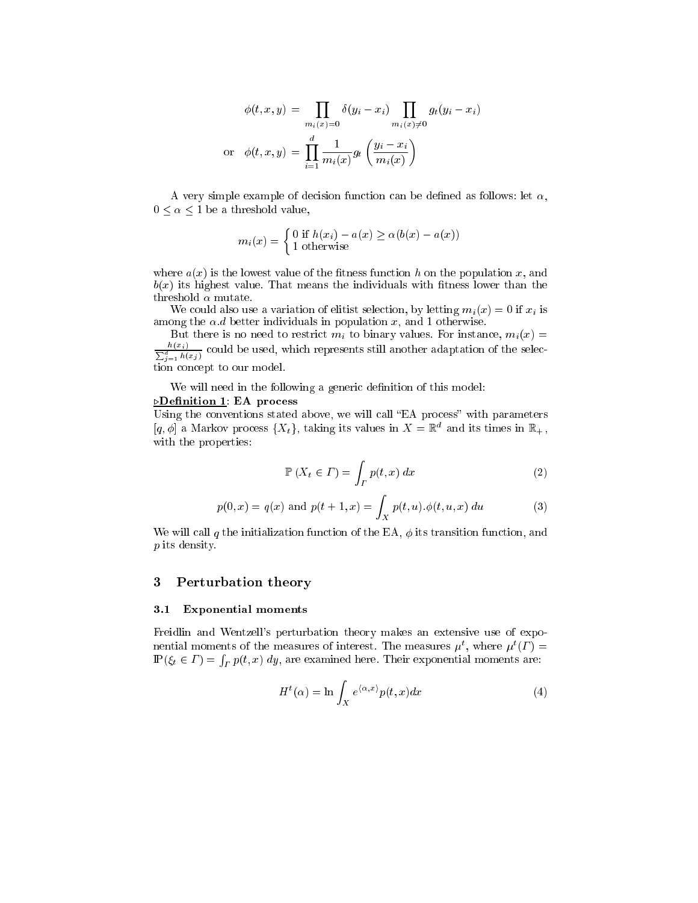$$
\phi(t, x, y) = \prod_{m_i(x) = 0} \delta(y_i - x_i) \prod_{m_i(x) \neq 0} g_t(y_i - x_i)
$$
  
or 
$$
\phi(t, x, y) = \prod_{i=1}^d \frac{1}{m_i(x)} g_t\left(\frac{y_i - x_i}{m_i(x)}\right)
$$

A very simple example of decision function can be defined as follows: let  $\alpha$ ,  $0 \leq \alpha \leq 1$  be a threshold value,

$$
m_i(x) = \begin{cases} 0 \text{ if } h(x_i) - a(x) \ge \alpha(b(x) - a(x)) \\ 1 \text{ otherwise} \end{cases}
$$

where  $a(x)$  is the lowest value of the fitness function h on the population x, and  $b(x)$  its highest value. That means the individuals with fitness lower than the threshold  $\alpha$  mutate.

We could also use a variation of elitist selection, by letting  $m_i(x) = 0$  if  $x_i$  is among the  $\alpha$ .d better individuals in population x, and 1 otherwise.

But there is no need to restrict  $m_i$  to binary values. For instance,  $m_i(x)$  $\frac{h(x_i)}{\sum_{j=1}^d h(x_j)}$  could be used, which represents still another adaptation of the selection on
ept to our model.

We will need in the following a generic definition of this model:

### **Definition 1: EA process**

Using the conventions stated above, we will call "EA process" with parameters  $[q, \phi]$  a Markov process  $\{X_t\}$ , taking its values in  $X = \mathbb{R}^d$  and its times in  $\mathbb{R}_+$ , with the properties:

$$
\mathbb{P}\left(X_t \in \Gamma\right) = \int_{\Gamma} p(t, x) \, dx \tag{2}
$$

$$
p(0, x) = q(x)
$$
 and  $p(t + 1, x) = \int_X p(t, u) . \phi(t, u, x) du$  (3)

We will call q the initialization function of the EA,  $\phi$  its transition function, and p its density.

## 3 Perturbation theory

#### 3.1 Exponential moments

Freidlin and Wentzell's perturbation theory makes an extensive use of exponential moments of the measures of interest. The measures  $\mu^t$ , where  $\mu^t(\Gamma)$  =  $\mathbb{P}(\xi_t \in \Gamma) = \int_{\Gamma} p(t, x) \, dy$ , are examined here. Their exponential moments are:

$$
H^{t}(\alpha) = \ln \int_{X} e^{\langle \alpha, x \rangle} p(t, x) dx \tag{4}
$$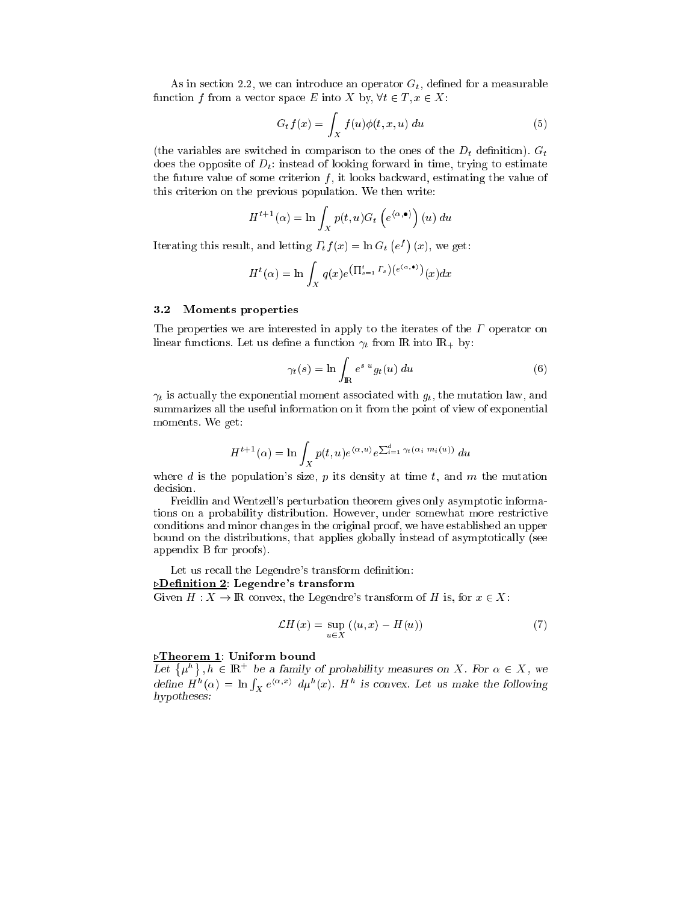As in section 2.2, we can introduce an operator  $G_t$ , defined for a measurable function f from a vector space E into X by,  $\forall t \in T, x \in X$ :

$$
G_t f(x) = \int_X f(u)\phi(t, x, u) du
$$
\n(5)

(the variables are switched in comparison to the ones of the  $D_t$  definition).  $G_t$ does the opposite of  $D_t$ : instead of looking forward in time, trying to estimate the future value of some criterion  $f$ , it looks backward, estimating the value of this riterion on the previous population. We then write:

$$
H^{t+1}(\alpha) = \ln \int_X p(t, u) G_t \left( e^{(\alpha, \bullet)} \right) (u) du
$$

Iterating this result, and letting  $\Gamma_t f(x) = \ln G_t$  (  $e^f$ )  $\cdots$   $\cdots$ 

$$
H^{t}(\alpha) = \ln \int_{X} q(x) e^{\left(\prod_{s=1}^{t} \Gamma_{s}\right)\left(e^{\left\langle \alpha, \bullet\right\rangle}\right)}(x) dx
$$

### 3.2 Moments properties

The properties we are interested in apply to the iterates of the  $\Gamma$  operator on linear functions. Let us define a function  $\gamma_t$  from IR into IR<sub>+</sub> by:

$$
\gamma_t(s) = \ln \int_{\mathbb{R}} e^{s \ u} g_t(u) \ du \tag{6}
$$

 $\gamma_t$  is actually the exponential moment associated with  $g_t$ , the mutation law, and summarizes all the useful information on it from the point of view of exponential moments. We get:

$$
H^{t+1}(\alpha) = \ln \int_X p(t, u) e^{\langle \alpha, u \rangle} e^{\sum_{i=1}^d \gamma_t (\alpha_i m_i(u))} du
$$

where d is the population's size,  $p$  its density at time  $t$ , and  $m$  the mutation decision.

Freidlin and Wentzell's perturbation theorem gives only asymptoti informations on a probability distribution. However, under somewhat more restri
tive onditions and minor hanges in the original proof, we have established an upper bound on the distributions, that applies globally instead of asymptoti
ally (see appendix B for proofs).

Let us recall the Legendre's transform definition:

## $\Delta$ Definition 2: Legendre's transform

Given  $H: X \to \mathbb{R}$  convex, the Legendre's transform of H is, for  $x \in X$ :

$$
\mathcal{L}H(x) = \sup_{u \in X} (\langle u, x \rangle - H(u)) \tag{7}
$$

#### *<u>DTheorem 1</u>: Uniform bound</u>*

Let  $\{\mu^h\}, h \in \mathbb{R}^+$  be a family of probability measures on X. For  $\alpha \in X$ , we define  $H^h(\alpha) = \ln \int_X e^{\langle \alpha, x \rangle} d\mu^h(x)$ .  $H^h$  is convex. Let us make the following hypotheses: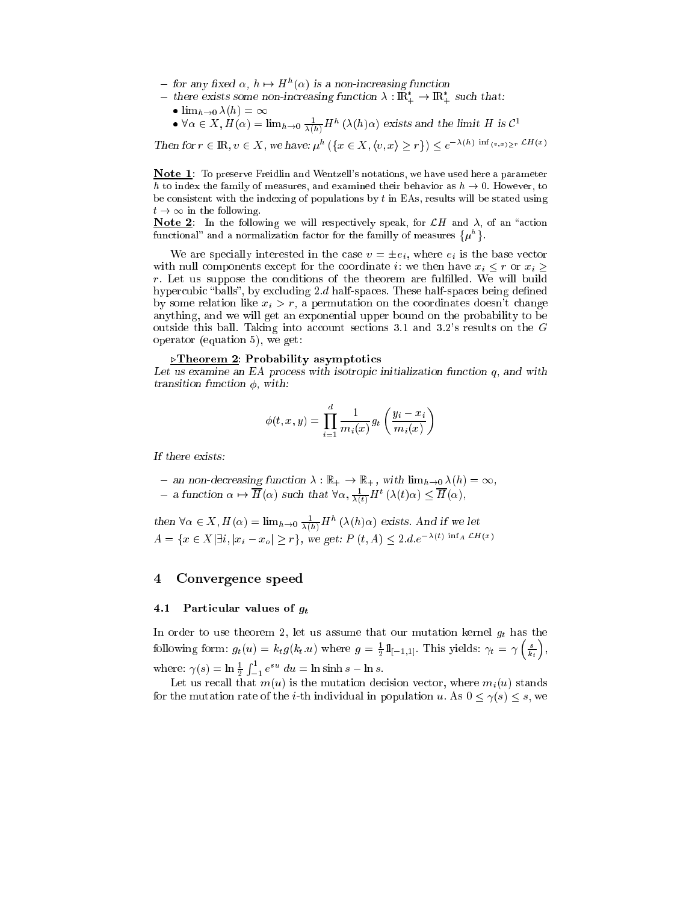- for any fixed  $\alpha$ ,  $h \mapsto H^h(\alpha)$  is a non-increasing function
- $-$  there exists some non-increasing function  $\lambda$  :  ${\rm I\!R}_+ \to {\rm I\!R}_+$  such that: •  $\lim_{h\to 0} \Lambda(h) = \infty$ 
	- $\forall \alpha \in X, H(\alpha) = \lim_{h \to 0} \frac{1}{\lambda(h)} H^h(\lambda(h)\alpha)$  exists and the limit H is  $\mathcal{C}^1$

Then for  $r \in \mathbb{R}$ ,  $v \in X$ , we have:  $u^h$   $(\{x \in X, \langle v, x \rangle > r\}) < e^{-\lambda(h) \inf_{\{v, x\} \ge r} \mathcal{L}H(x)}$ 

Note 1: To preserve Freidlin and Wentzell's notations, we have used here a parameter h to index the family of measures, and examined their behavior as  $h \to 0$ . However, to be consistent with the indexing of populations by  $t$  in EAs, results will be stated using  $t \to \infty$  in the following.

**Note 2**: In the following we will respectively speak, for  $\mathcal{L}H$  and  $\lambda$ , of an "action" functional" and a normalization factor for the familly of measures  $\{\mu^h\}$ .

We are specially interested in the case  $v = \pm e_i$ , where  $e_i$  is the base vector with null components except for the coordinate i: we then have  $x_i \leq r$  or  $x_i \geq$  $r$ . Let us suppose the conditions of the theorem are fulfilled. We will build hypercubic "balls", by excluding 2.d half-spaces. These half-spaces being defined by some relation like  $x_i > r$ , a permutation on the coordinates doesn't change anything, and we will get an exponential upper bound on the probability to be outside this ball. Taking into account sections 3.1 and 3.2's results on the  $G$ operator (equation 5), we get:

### $\triangleright$ Theorem 2: Probability asymptotics

Let us examine an EA process with isotropic initialization function  $q$ , and with transition function  $\phi$ , with:

$$
\phi(t, x, y) = \prod_{i=1}^{d} \frac{1}{m_i(x)} g_t \left( \frac{y_i - x_i}{m_i(x)} \right)
$$

If there exists:

- an non-decreasing function  $\lambda : \mathbb{R}_+ \to \mathbb{R}_+$ , with  $\lim_{h\to 0} \lambda(h) = \infty$ ,
- $-$  a function  $\alpha \mapsto \overline{H}(\alpha)$  such that  $\forall \alpha, \frac{1}{\lambda(t)} H^t(\lambda(t)\alpha) \leq \overline{H}(\alpha)$ ,

then  $\forall \alpha \in X, H(\alpha) = \lim_{h \to 0} \frac{1}{\lambda(h)} H^h(\lambda(h)\alpha)$  exists. And if we let  $A = \{x \in X | \exists i, |x_i - x_o| \ge r\},\$  we get:  $P(t, A) \le 2.de^{-\lambda(t)\inf_{A} \mathcal{L}H(x)}$ 

#### Convergence speed  $\overline{\mathbf{4}}$

#### 4.1 Particular values of  $g_t$

In order to use theorem 2, let us assume that our mutation kernel  $g_t$  has the following form:  $g_t(u) = k_t g(k_t.u)$  where  $g = \frac{1}{2} 1\mathbb{I}_{[-1,1]}$ . This yields:  $\gamma_t = \gamma\left(\frac{s}{k_t}\right)$ ,  $\overline{\phantom{a}}$  $\sim$ where:  $\gamma(s) = \ln \frac{1}{2} \int_{-1}^{1} e^{su} du = \ln \sinh s - \ln s$ .

Let us recall that  $m(u)$  is the mutation decision vector, where  $m_i(u)$  stands for the mutation rate of the *i*-th individual in population u. As  $0 \le \gamma(s) \le s$ , we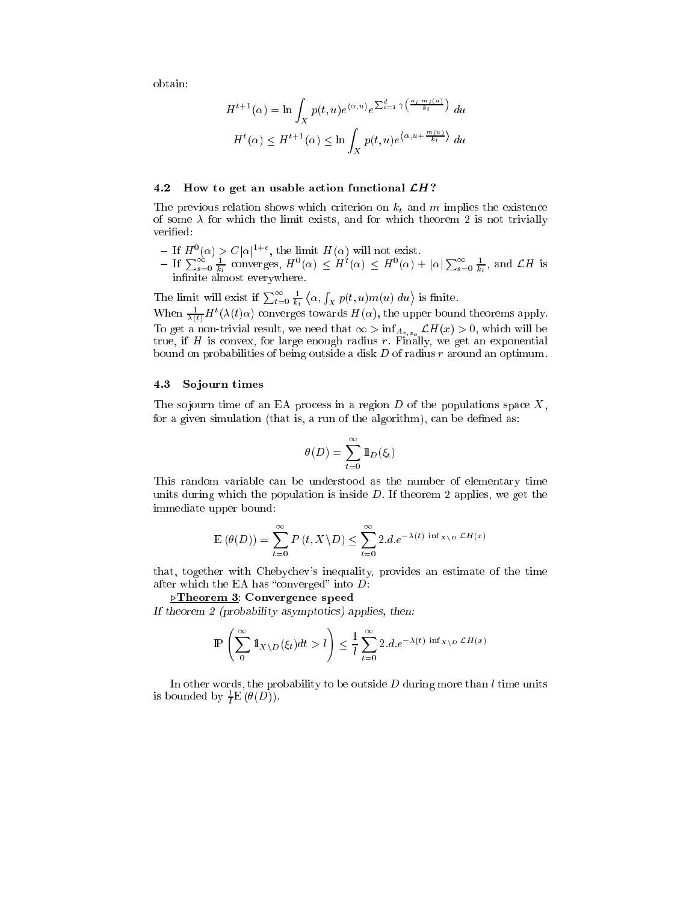obtain:

$$
H^{t+1}(\alpha) = \ln \int_X p(t, u) e^{\langle \alpha, u \rangle} e^{\sum_{i=1}^d \gamma \left( \frac{\alpha_i - m_i(u)}{k_t} \right)} du
$$
  

$$
H^t(\alpha) \le H^{t+1}(\alpha) \le \ln \int_X p(t, u) e^{\langle \alpha, u + \frac{m(u)}{k_t} \rangle} du
$$

### 4.2 How to get an usable action functional  $\mathcal{L}H$ ?

The previous relation shows which criterion on  $k_t$  and m implies the existence of some  $\lambda$  for which the limit exists, and for which theorem 2 is not trivially verified:

- 
- If  $H^0(\alpha) > C |\alpha|^{1+\epsilon}$ , the limit  $H(\alpha)$  will not exist.<br>- If  $\sum_{s=0}^{\infty} \frac{1}{k_t}$  converges,  $H^0(\alpha) \leq H^t(\alpha) \leq H^0(\alpha) + |\alpha| \sum_{s=0}^{\infty} \frac{1}{k_t}$ , and  $\mathcal{L}H$  is innite almost everywhere.

The limit will exist if  $\sum_{t=0}^{\infty} \frac{1}{k_t} \langle \alpha, \int_X p(t, u) m(u) \, du \rangle$  is finite.

When  $\frac{1}{\lambda(t)}H^{t}(\lambda(t)\alpha)$  converges towards  $H(\alpha)$ , the upper bound theorems apply. To get a non-trivial result, we need that  $\infty > \lim_{A_{r,x_0}} L H(x) > 0$ , which will be true, if  $\mathbf{h}$  is a formulation radius region radius regions regions regions regions regions in exponential bound on probabilities of being outside a disk  $D$  of radius  $r$  around an optimum.

#### 4.3 Sojourn times

The sojourn time of an EA process in a region  $D$  of the populations space  $X$ , for a given simulation (that is, a run of the algorithm), can be defined as:

$$
\theta(D) = \sum_{t=0}^{\infty} \mathbb{1}_D(\xi_t)
$$

This random variable an be understood as the number of elementary time units during which the population is inside  $D$ . If theorem 2 applies, we get the immediate upper bound:

$$
E(\theta(D)) = \sum_{t=0}^{\infty} P(t, X \setminus D) \le \sum_{t=0}^{\infty} 2.d.e^{-\lambda(t) \inf_{X \setminus D} \mathcal{L}H(x)}
$$

that, together with Cheby
hev's inequality, provides an estimate of the time after which the EA has "converged" into  $D$ :

.Theorem 3: Convergen
e speed

If theorem 2 (probability asymptotics) applies, then:

$$
\mathbb{P}\left(\sum_{0}^{\infty} \mathbb{1}_{X \setminus D}(\xi_t) dt > l\right) \leq \frac{1}{l} \sum_{t=0}^{\infty} 2.d.e^{-\lambda(t) \inf_{X \setminus D} \mathcal{L}H(x)}
$$

In other words, the probability to be outside  $D$  during more than  $l$  time units is bounded by  $\tilde{\tau}$   $E$  ( $\sigma$ ( $D$ )).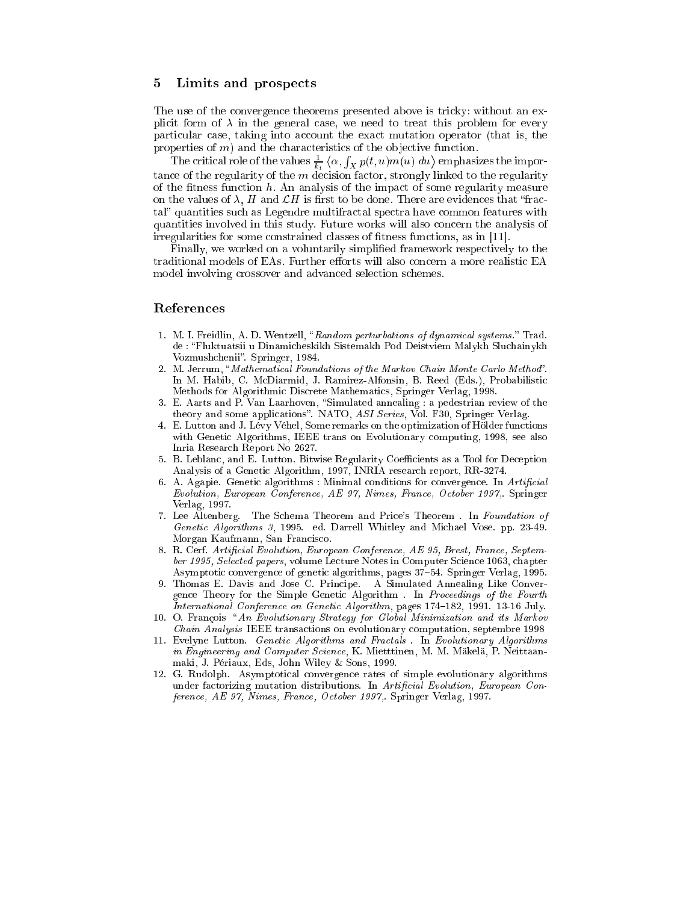#### 5 Limits and prospects

The use of the convergence theorems presented above is tricky: without an explicit form of  $\lambda$  in the general case, we need to treat this problem for every particular case, taking into account the exact mutation operator (that is, the properties of  $m$ ) and the characteristics of the objective function.

The critical role of the values  $\frac{1}{k_t} \langle \alpha, \int_X p(t, u) m(u) \ du \rangle$  emphasizes the importance of the regularity of the  $m$  decision factor, strongly linked to the regularity of the fitness function  $h$ . An analysis of the impact of some regularity measure on the values of  $\lambda$ , H and  $\mathcal{L}H$  is first to be done. There are evidences that "fractal" quantities such as Legendre multifractal spectra have common features with quantities involved in this study. Future works will also concern the analysis of irregularities for some constrained classes of fitness functions, as in [11].

Finally, we worked on a voluntarily simplified framework respectively to the traditional models of EAs. Further efforts will also concern a more realistic EA model involving crossover and advanced selection schemes.

## References

- 1. M. I. Freidlin, A. D. Wentzell, "Random perturbations of dynamical systems." Trad. de : "Fluktuatsii u Dinamicheskikh Sistemakh Pod Deistviem Malykh Sluchainykh Vozmushchenii". Springer, 1984.
- 2. M. Jerrum, "Mathematical Foundations of the Markov Chain Monte Carlo Method". In M. Habib, C. McDiarmid, J. Ramirez-Alfonsin, B. Reed (Eds.), Probabilistic Methods for Algorithmic Discrete Mathematics, Springer Verlag, 1998.
- 3. E. Aarts and P. Van Laarhoven, "Simulated annealing : a pedestrian review of the theory and some applications". NATO, ASI Series, Vol. F30, Springer Verlag.
- 4. E. Lutton and J. Lévy Véhel, Some remarks on the optimization of Hölder functions with Genetic Algorithms, IEEE trans on Evolutionary computing, 1998, see also Inria Research Report No 2627.
- 5. B. Leblanc, and E. Lutton. Bitwise Regularity Coefficients as a Tool for Deception Analysis of a Genetic Algorithm, 1997, INRIA research report, RR-3274.
- 6. A. Agapie. Genetic algorithms : Minimal conditions for convergence. In Artificial Evolution, European Conference, AE 97, Nimes, France, October 1997, Springer Verlag, 1997.
- 7. Lee Altenberg. The Schema Theorem and Price's Theorem . In Foundation of Genetic Algorithms 3, 1995. ed. Darrell Whitley and Michael Vose. pp. 23-49. Morgan Kaufmann, San Francisco.
- 8. R. Cerf. Artificial Evolution, European Conference, AE 95, Brest, France, September 1995, Selected papers, volume Lecture Notes in Computer Science 1063, chapter Asymptotic convergence of genetic algorithms, pages 37–54. Springer Verlag, 1995.
- 9. Thomas E. Davis and Jose C. Principe. A Simulated Annealing Like Convergence Theory for the Simple Genetic Algorithm . In Proceedings of the Fourth International Conference on Genetic Algorithm, pages 174-182, 1991. 13-16 July.
- 10. O. François "An Evolutionary Strategy for Global Minimization and its Markov *Chain Analysis* IEEE transactions on evolutionary computation, septembre 1998
- 11. Evelyne Lutton. Genetic Algorithms and Fractals . In Evolutionary Algorithms in Engineering and Computer Science, K. Mietttinen, M. M. Mäkelä, P. Neittaanmaki, J. Périaux, Eds, John Wiley & Sons, 1999.
- 12. G. Rudolph. Asymptotical convergence rates of simple evolutionary algorithms under factorizing mutation distributions. In Artificial Evolution, European Conference, AE 97, Nimes, France, October 1997, Springer Verlag, 1997.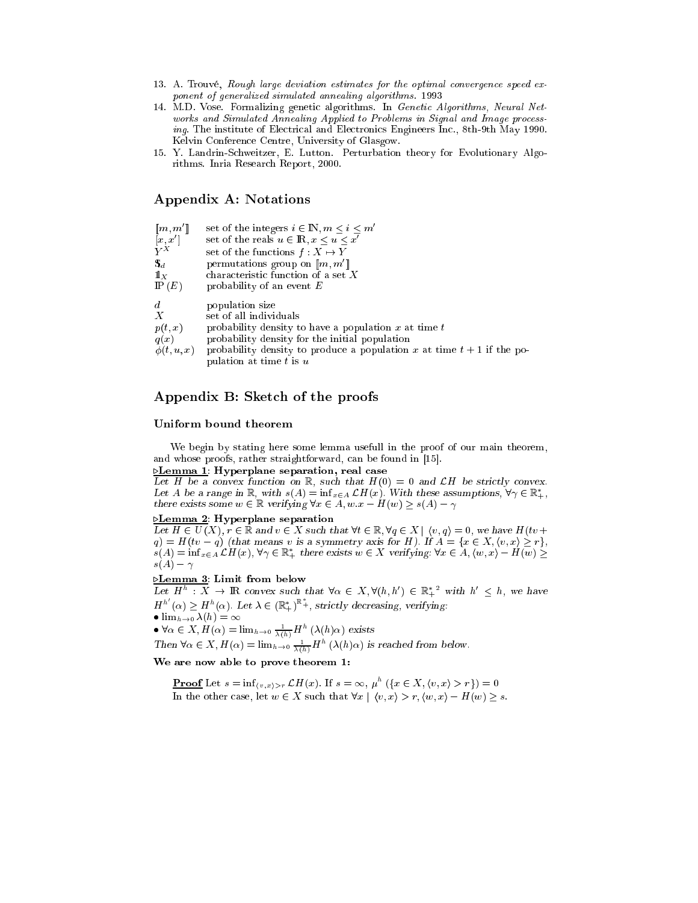- 13. A. Trouvé, Rough large deviation estimates for the optimal convergence speed exponent of generalized simulated annealing algorithms. 1993
- 14. M.D. Vose. Formalizing geneti algorithms. In Geneti Algorithms, Neural Networks and Simulated Annealing Applied to Problems in Signal and Image processing. The institute of Electrical and Electronics Engineers Inc., 8th-9th May 1990. Kelvin Conferen
e Centre, University of Glasgow.
- 15. Y. Landrin-S
hweitzer, E. Lutton. Perturbation theory for Evolutionary Algorithms. Inria Resear
h Report, 2000.

## Appendix A: Notations

| $[\![m,m']\!]$   | set of the integers $i \in \mathbb{N}, m \leq i \leq m'$                 |
|------------------|--------------------------------------------------------------------------|
| [x, x']          | set of the reals $u \in \mathbb{R}, x \leq u \leq x'$                    |
| $Y^X$            | set of the functions $f: X \mapsto Y$                                    |
| $\mathbf{S}_d$   | permutations group on $\llbracket m, m' \rrbracket$                      |
| $\mathbb{1}_X$   | characteristic function of a set $X$                                     |
| P(E)             | probability of an event $E$                                              |
| $d_{\cdot}$      | population size                                                          |
| $\boldsymbol{X}$ | set of all individuals                                                   |
| p(t,x)           | probability density to have a population x at time $t$                   |
| q(x)             | probability density for the initial population                           |
| $\phi(t, u, x)$  | probability density to produce a population x at time $t + 1$ if the po- |
|                  | pulation at time $t$ is $u$                                              |

## Appendix B: Sket
h of the proofs

pulation at the time to the time the

### Uniform bound theorem

We begin by stating here some lemma usefull in the proof of our main theorem, and whose proofs, rather straightforward, can be found in [15].

**Lemma 1:** Hyperplane separation, real case

Let H be a convex function on R, such that  $H(0) = 0$  and  $\mathcal{L}H$  be strictly convex. Let A be a range in  $\mathbb{R},$  with  $s(A) = \inf_{x \in A} L H(x)$ . With these assumptions,  $\nabla \gamma \in \mathbb{R}_+,$ there exists some  $w \in \mathbb{R}$  verifying  $\forall x \in A, w.x - H(w) \geq s(A) - \gamma$ 

#### $\triangleright$ Lemma 2: Hyperplane separation

Let  $H \in U(X)$ ,  $r \in \mathbb{R}$  and  $v \in X$  such that  $\forall t \in \mathbb{R}, \forall q \in X \mid \langle v, q \rangle = 0$ , we have  $H(tv +$  $s(A) = \inf_{x \in A} L H(x), \forall \gamma \in \mathbb{R}_+^*$  there exists  $w \in X$  verifying:  $\forall x \in A, (w, x) - H(w) \ge$  $s(A) - \gamma$ 

## **Lemma 3**: Limit from below

Let  $H^h: X \to \mathbb{R}$  convex such that  $\forall \alpha \in X, \forall (h, h') \in \mathbb{R}^{*2}$  with  $h' \leq h$ , we have  $H^{h'}(\alpha) \geq H^h(\alpha)$ . Let  $\lambda \in (\mathbb{R}_+^*)^{\mathbb{R}_+^*}$ , strictly decreasing, verifying:

$$
\bullet\,\lim_{h\to 0}\lambda(h)=\infty
$$

•  $\forall \alpha \in X, H(\alpha) = \lim_{h \to 0} \frac{1}{\lambda(h)} H^h(\lambda(h)\alpha)$  exists

Then  $\forall \alpha \in X$ ,  $H(\alpha) = \lim_{h \to 0} \frac{1}{\lambda(h)} H^h(\lambda(h)\alpha)$  is reached from below.

We are now able to prove theorem 1:

**Proof** Let  $s = \inf_{\langle v, x \rangle > r} \mathcal{L}H(x)$ . If  $s = \infty$ ,  $\mu^h$   $(\{x \in X, \langle v, x \rangle > r\}) = 0$ In the other case, let  $w \in X$  such that  $\forall x \mid \langle v, x \rangle > r, \langle w, x \rangle - H(w) \geq s$ .